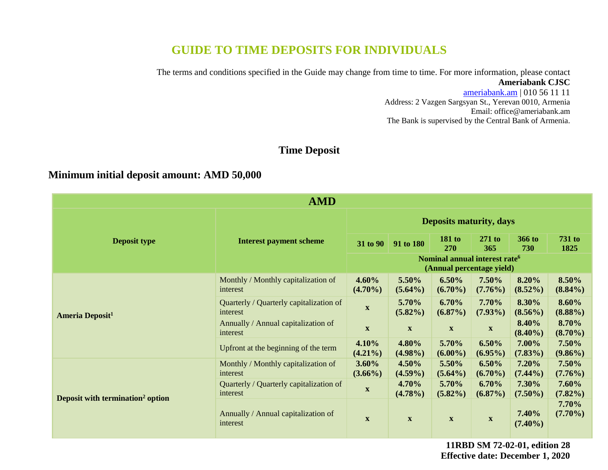# **GUIDE TO TIME DEPOSITS FOR INDIVIDUALS**

The terms and conditions specified in the Guide may change from time to time. For more information, please contact **Ameriabank CJSC**

> [ameriabank.am](https://ameriabank.am/default.aspx?lang=28) | 010 56 11 11 Address: 2 Vazgen Sargsyan St., Yerevan 0010, Armenia Email: <office@ameriabank.am> The Bank is supervised by the Central Bank of Armenia.

# **Time Deposit**

# **Minimum initial deposit amount: AMD 50,000**

| <b>AMD</b>                                   |                                                     |                                |                                                                        |                           |                           |                     |                        |
|----------------------------------------------|-----------------------------------------------------|--------------------------------|------------------------------------------------------------------------|---------------------------|---------------------------|---------------------|------------------------|
|                                              | <b>Interest payment scheme</b>                      | <b>Deposits maturity, days</b> |                                                                        |                           |                           |                     |                        |
| <b>Deposit type</b>                          |                                                     | 31 to 90                       | 91 to 180                                                              | 181 to<br><b>270</b>      | $271$ to<br>365           | 366 to<br>730       | <b>731 to</b><br>1825  |
|                                              |                                                     |                                | Nominal annual interest rate <sup>6</sup><br>(Annual percentage yield) |                           |                           |                     |                        |
| <b>Ameria Deposit<sup>1</sup></b>            | Monthly / Monthly capitalization of<br>interest     | $4.60\%$<br>$(4.70\%)$         | 5.50%<br>$(5.64\%)$                                                    | 6.50%<br>$(6.70\%)$       | 7.50%<br>$(7.76\%)$       | 8.20%<br>$(8.52\%)$ | 8.50%<br>$(8.84\%)$    |
|                                              | Quarterly / Quarterly capitalization of<br>interest | $\mathbf{X}$                   | 5.70%<br>$(5.82\%)$                                                    | 6.70%<br>$(6.87\%)$       | 7.70%<br>$(7.93\%)$       | 8.30%<br>$(8.56\%)$ | 8.60%<br>$(8.88\%)$    |
|                                              | Annually / Annual capitalization of<br>interest     | $\mathbf{X}$                   | $\boldsymbol{\mathrm{X}}$                                              | $\boldsymbol{\mathrm{X}}$ | $\boldsymbol{\mathrm{X}}$ | 8.40%<br>$(8.40\%)$ | 8.70%<br>$(8.70\%)$    |
|                                              | Upfront at the beginning of the term                | 4.10%<br>$(4.21\%)$            | 4.80%<br>$(4.98\%)$                                                    | 5.70%<br>$(6.00\%)$       | 6.50%<br>$(6.95\%)$       | 7.00%<br>$(7.83\%)$ | 7.50%<br>$(9.86\%)$    |
| Deposit with termination <sup>2</sup> option | Monthly / Monthly capitalization of<br>interest     | $3.60\%$<br>$(3.66\%)$         | $4.50\%$<br>$(4.59\%)$                                                 | 5.50%<br>$(5.64\%)$       | $6.50\%$<br>$(6.70\%)$    | 7.20%<br>$(7.44\%)$ | $7.50\%$<br>$(7.76\%)$ |
|                                              | Quarterly / Quarterly capitalization of<br>interest | $\mathbf{X}$                   | 4.70%<br>$(4.78\%)$                                                    | 5.70%<br>$(5.82\%)$       | 6.70%<br>$(6.87\%)$       | 7.30%<br>$(7.50\%)$ | $7.60\%$<br>$(7.82\%)$ |
|                                              | Annually / Annual capitalization of<br>interest     | $\mathbf{X}$                   | $\mathbf X$                                                            | $\boldsymbol{\mathrm{X}}$ | $\mathbf X$               | 7.40%<br>$(7.40\%)$ | $7.70\%$<br>$(7.70\%)$ |

**11RBD SM 72-02-01, edition 28 Effective date: December 1, 2020**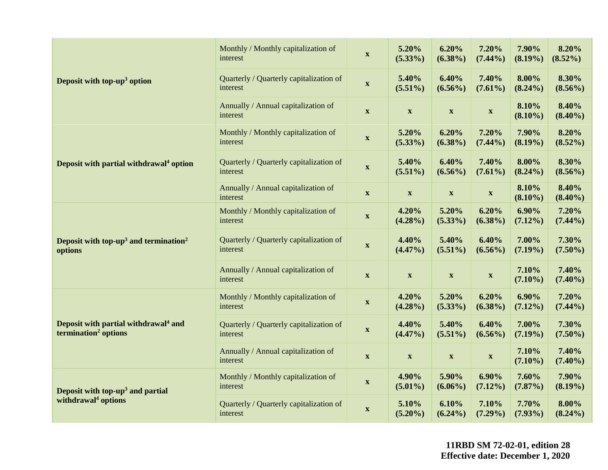|                                                                                      | Monthly / Monthly capitalization of<br>interest     | $\mathbf{X}$              | 5.20%<br>$(5.33\%)$       | 6.20%<br>$(6.38\%)$       | 7.20%<br>$(7.44\%)$       | 7.90%<br>$(8.19\%)$    | 8.20%<br>$(8.52\%)$    |
|--------------------------------------------------------------------------------------|-----------------------------------------------------|---------------------------|---------------------------|---------------------------|---------------------------|------------------------|------------------------|
| Deposit with top-up <sup>3</sup> option                                              | Quarterly / Quarterly capitalization of<br>interest | $\boldsymbol{\mathrm{X}}$ | 5.40%<br>$(5.51\%)$       | 6.40%<br>$(6.56\%)$       | 7.40%<br>$(7.61\%)$       | 8.00%<br>$(8.24\%)$    | 8.30%<br>$(8.56\%)$    |
|                                                                                      | Annually / Annual capitalization of<br>interest     | $\mathbf{X}$              | $\mathbf X$               | $\boldsymbol{\mathrm{X}}$ | $\mathbf X$               | 8.10%<br>$(8.10\%)$    | 8.40%<br>$(8.40\%)$    |
|                                                                                      | Monthly / Monthly capitalization of<br>interest     | $\boldsymbol{\mathrm{X}}$ | 5.20%<br>$(5.33\%)$       | 6.20%<br>$(6.38\%)$       | 7.20%<br>$(7.44\%)$       | 7.90%<br>$(8.19\%)$    | 8.20%<br>$(8.52\%)$    |
| Deposit with partial withdrawal <sup>4</sup> option                                  | Quarterly / Quarterly capitalization of<br>interest | $\mathbf{X}$              | 5.40%<br>$(5.51\%)$       | 6.40%<br>$(6.56\%)$       | 7.40%<br>$(7.61\%)$       | 8.00%<br>$(8.24\%)$    | 8.30%<br>$(8.56\%)$    |
|                                                                                      | Annually / Annual capitalization of<br>interest     | $\mathbf{X}$              | $\mathbf X$               | $\boldsymbol{\mathrm{X}}$ | $\mathbf X$               | 8.10%<br>$(8.10\%)$    | 8.40%<br>$(8.40\%)$    |
|                                                                                      | Monthly / Monthly capitalization of<br>interest     | $\mathbf{X}$              | 4.20%<br>$(4.28\%)$       | 5.20%<br>$(5.33\%)$       | 6.20%<br>$(6.38\%)$       | $6.90\%$<br>$(7.12\%)$ | 7.20%<br>$(7.44\%)$    |
| Deposit with top-up <sup>3</sup> and termination <sup>2</sup><br>options             | Quarterly / Quarterly capitalization of<br>interest | $\boldsymbol{\mathrm{X}}$ | 4.40%<br>$(4.47\%)$       | 5.40%<br>$(5.51\%)$       | 6.40%<br>$(6.56\%)$       | 7.00%<br>$(7.19\%)$    | 7.30%<br>$(7.50\%)$    |
|                                                                                      | Annually / Annual capitalization of<br>interest     | $\mathbf{X}$              | $\boldsymbol{\mathrm{X}}$ | $\boldsymbol{\mathrm{X}}$ | $\mathbf X$               | 7.10%<br>$(7.10\%)$    | 7.40%<br>$(7.40\%)$    |
|                                                                                      | Monthly / Monthly capitalization of<br>interest     | $\mathbf X$               | 4.20%<br>$(4.28\%)$       | 5.20%<br>$(5.33\%)$       | 6.20%<br>$(6.38\%)$       | $6.90\%$<br>$(7.12\%)$ | 7.20%<br>$(7.44\%)$    |
| Deposit with partial withdrawal <sup>4</sup> and<br>termination <sup>2</sup> options | Quarterly / Quarterly capitalization of<br>interest | $\mathbf{X}$              | 4.40%<br>$(4.47\%)$       | 5.40%<br>$(5.51\%)$       | 6.40%<br>$(6.56\%)$       | 7.00%<br>$(7.19\%)$    | 7.30%<br>$(7.50\%)$    |
|                                                                                      | Annually / Annual capitalization of<br>interest     | $\boldsymbol{\mathrm{X}}$ | $\boldsymbol{\mathrm{X}}$ | $\boldsymbol{\mathrm{X}}$ | $\boldsymbol{\mathrm{X}}$ | 7.10%<br>$(7.10\%)$    | 7.40%<br>$(7.40\%)$    |
| Deposit with top-up <sup>3</sup> and partial                                         | Monthly / Monthly capitalization of<br>interest     | $\boldsymbol{\mathrm{X}}$ | 4.90%<br>$(5.01\%)$       | 5.90%<br>$(6.06\%)$       | $6.90\%$<br>$(7.12\%)$    | 7.60%<br>$(7.87\%)$    | 7.90%<br>$(8.19\%)$    |
| withdrawal <sup>4</sup> options                                                      | Quarterly / Quarterly capitalization of<br>interest | $\mathbf{X}$              | 5.10%<br>$(5.20\%)$       | 6.10%<br>$(6.24\%)$       | 7.10%<br>$(7.29\%)$       | 7.70%<br>$(7.93\%)$    | $8.00\%$<br>$(8.24\%)$ |

**11RBD SM 72-02-01, edition 28 Effective date: December 1, 2020**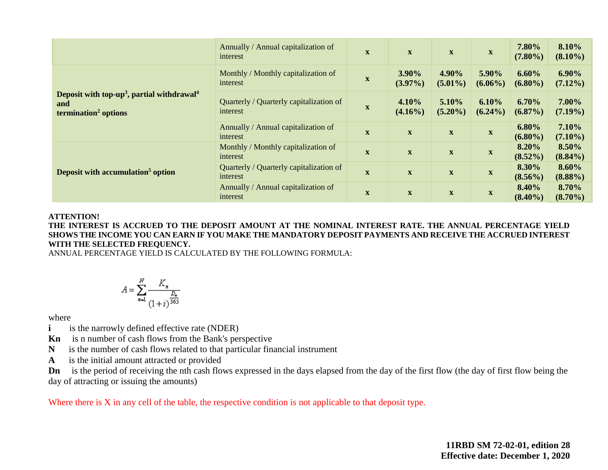|                                                                                                               | Annually / Annual capitalization of<br>interest     | $\mathbf X$               | $\mathbf{X}$               | $\mathbf{X}$        | $\mathbf{X}$        | 7.80%<br>$(7.80\%)$    | 8.10%<br>$(8.10\%)$    |
|---------------------------------------------------------------------------------------------------------------|-----------------------------------------------------|---------------------------|----------------------------|---------------------|---------------------|------------------------|------------------------|
|                                                                                                               | Monthly / Monthly capitalization of<br>interest     | $\boldsymbol{\mathrm{X}}$ | 3.90%<br>$(3.97\%)$        | 4.90%<br>$(5.01\%)$ | 5.90%<br>$(6.06\%)$ | 6.60%<br>$(6.80\%)$    | $6.90\%$<br>$(7.12\%)$ |
| Deposit with top-up <sup>3</sup> , partial withdrawal <sup>4</sup><br>and<br>termination <sup>2</sup> options | Quarterly / Quarterly capitalization of<br>interest | $\mathbf X$               | 4.10%<br>$(4.16\%)$        | 5.10%<br>$(5.20\%)$ | 6.10%<br>$(6.24\%)$ | 6.70%<br>$(6.87\%)$    | 7.00%<br>$(7.19\%)$    |
|                                                                                                               | Annually / Annual capitalization of<br>interest     | $\mathbf X$               | $\mathbf{X}$               | $\mathbf X$         | $\mathbf X$         | $6.80\%$<br>$(6.80\%)$ | 7.10%<br>$(7.10\%)$    |
| Deposit with accumulation <sup>5</sup> option                                                                 | Monthly / Monthly capitalization of<br>interest     | $\mathbf{X}$              | $\mathbf X$                | $\mathbf X$         | $\mathbf X$         | 8.20%<br>$(8.52\%)$    | 8.50%<br>$(8.84\%)$    |
|                                                                                                               | Quarterly / Quarterly capitalization of<br>interest | $\mathbf X$               | $\mathbf X$                | $\mathbf X$         | $\mathbf X$         | 8.30%<br>$(8.56\%)$    | 8.60%<br>$(8.88\%)$    |
|                                                                                                               | Annually / Annual capitalization of<br>interest     | $\mathbf X$               | $\mathbf X$<br>$\mathbf X$ |                     | X                   | 8.40%<br>$(8.40\%)$    | 8.70%<br>$(8.70\%)$    |

#### **ATTENTION!**

**THE INTEREST IS ACCRUED TO THE DEPOSIT AMOUNT AT THE NOMINAL INTEREST RATE. THE ANNUAL PERCENTAGE YIELD SHOWS THE INCOME YOU CAN EARN IF YOU MAKE THE MANDATORY DEPOSIT PAYMENTS AND RECEIVE THE ACCRUED INTEREST WITH THE SELECTED FREQUENCY.** 

ANNUAL PERCENTAGE YIELD IS CALCULATED BY THE FOLLOWING FORMULA:

$$
A = \sum_{n=1}^{N} \frac{K_n}{\frac{D_n}{(1+i)^{\frac{D_n}{365}}}}
$$

where

- **i** is the narrowly defined effective rate (NDER)
- **Kn** is n number of cash flows from the Bank's perspective
- **N** is the number of cash flows related to that particular financial instrument
- **A** is the initial amount attracted or provided

**Dn** is the period of receiving the nth cash flows expressed in the days elapsed from the day of the first flow (the day of first flow being the day of attracting or issuing the amounts)

Where there is X in any cell of the table, the respective condition is not applicable to that deposit type.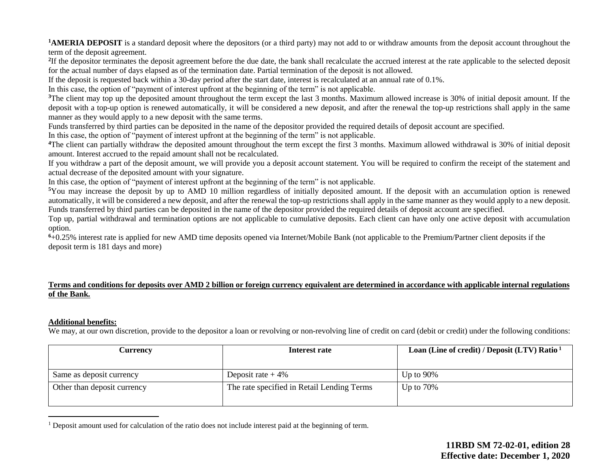**1AMERIA DEPOSIT** is a standard deposit where the depositors (or a third party) may not add to or withdraw amounts from the deposit account throughout the term of the deposit agreement.

<sup>2</sup>If the depositor terminates the deposit agreement before the due date, the bank shall recalculate the accrued interest at the rate applicable to the selected deposit for the actual number of days elapsed as of the termination date. Partial termination of the deposit is not allowed.

If the deposit is requested back within a 30-day period after the start date, interest is recalculated at an annual rate of 0.1%.

In this case, the option of "payment of interest upfront at the beginning of the term" is not applicable.

<sup>3</sup>The client may top up the deposited amount throughout the term except the last 3 months. Maximum allowed increase is 30% of initial deposit amount. If the deposit with a top-up option is renewed automatically, it will be considered a new deposit, and after the renewal the top-up restrictions shall apply in the same manner as they would apply to a new deposit with the same terms.

Funds transferred by third parties can be deposited in the name of the depositor provided the required details of deposit account are specified.

In this case, the option of "payment of interest upfront at the beginning of the term" is not applicable.

**<sup>4</sup>**The client can partially withdraw the deposited amount throughout the term except the first 3 months. Maximum allowed withdrawal is 30% of initial deposit amount. Interest accrued to the repaid amount shall not be recalculated.

If you withdraw a part of the deposit amount, we will provide you a deposit account statement. You will be required to confirm the receipt of the statement and actual decrease of the deposited amount with your signature.

In this case, the option of "payment of interest upfront at the beginning of the term" is not applicable.

**<sup>5</sup>**You may increase the deposit by up to AMD 10 million regardless of initially deposited amount. If the deposit with an accumulation option is renewed automatically, it will be considered a new deposit, and after the renewal the top-up restrictions shall apply in the same manner as they would apply to a new deposit. Funds transferred by third parties can be deposited in the name of the depositor provided the required details of deposit account are specified.

Top up, partial withdrawal and termination options are not applicable to cumulative deposits. Each client can have only one active deposit with accumulation option.

**<sup>6</sup>**+0.25% interest rate is applied for new AMD time deposits opened via Internet/Mobile Bank (not applicable to the Premium/Partner client deposits if the deposit term is 181 days and more)

### **Terms and conditions for deposits over AMD 2 billion or foreign currency equivalent are determined in accordance with applicable internal regulations of the Bank.**

### **Additional benefits:**

We may, at our own discretion, provide to the depositor a loan or revolving or non-revolving line of credit on card (debit or credit) under the following conditions:

| Interest rate                              | Loan (Line of credit) / Deposit (LTV) Ratio $1$ |  |  |
|--------------------------------------------|-------------------------------------------------|--|--|
|                                            |                                                 |  |  |
| Deposit rate $+4\%$                        | Up to $90\%$                                    |  |  |
| The rate specified in Retail Lending Terms | Up to $70\%$                                    |  |  |
|                                            |                                                 |  |  |

<sup>&</sup>lt;sup>1</sup> Deposit amount used for calculation of the ratio does not include interest paid at the beginning of term.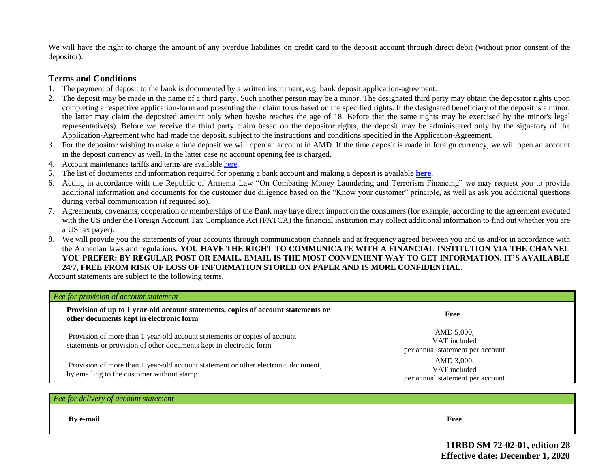We will have the right to charge the amount of any overdue liabilities on credit card to the deposit account through direct debit (without prior consent of the depositor).

## **Terms and Conditions**

- 1. The payment of deposit to the bank is documented by a written instrument, e.g. bank deposit application-agreement.
- 2. The deposit may be made in the name of a third party. Such another person may be a minor. The designated third party may obtain the depositor rights upon completing a respective application-form and presenting their claim to us based on the specified rights. If the designated beneficiary of the deposit is a minor, the latter may claim the deposited amount only when he/she reaches the age of 18. Before that the same rights may be exercised by the minor's legal representative(s). Before we receive the third party claim based on the depositor rights, the deposit may be administered only by the signatory of the Application-Agreement who had made the deposit, subject to the instructions and conditions specified in the Application-Agreement.
- 3. For the depositor wishing to make a time deposit we will open an account in AMD. If the time deposit is made in foreign currency, we will open an account in the deposit currency as well. In the latter case no account opening fee is charged.
- 4. Account maintenance tariffs and terms are availabl[e here.](https://ameriabank.am/content.aspx?id=openning+and+service+of+bank+accounts+(retail)&page=99&itm=account&lang=28)
- 5. The list of documents and information required for opening a bank account and making a deposit is available **[here](https://ameriabank.am/userfiles/file/Account_openning_required_documents_2.pdf)**.
- 6. Acting in accordance with the Republic of Armenia Law "On Combating Money Laundering and Terrorism Financing" we may request you to provide additional information and documents for the customer due diligence based on the "Know your customer" principle, as well as ask you additional questions during verbal communication (if required so).
- 7. Agreements, covenants, cooperation or memberships of the Bank may have direct impact on the consumers (for example, according to the agreement executed with the US under the Foreign Account Tax Compliance Act (FATCA) the financial institution may collect additional information to find out whether you are a US tax payer).
- 8. We will provide you the statements of your accounts through communication channels and at frequency agreed between you and us and/or in accordance with the Armenian laws and regulations. **YOU HAVE THE RIGHT TO COMMUNICATE WITH A FINANCIAL INSTITUTION VIA THE CHANNEL YOU PREFER: BY REGULAR POST OR EMAIL. EMAIL IS THE MOST CONVENIENT WAY TO GET INFORMATION. IT'S AVAILABLE 24/7, FREE FROM RISK OF LOSS OF INFORMATION STORED ON PAPER AND IS MORE CONFIDENTIAL.**

Account statements are subject to the following terms.

| Fee for provision of account statement                                                                                                          |                                                                |
|-------------------------------------------------------------------------------------------------------------------------------------------------|----------------------------------------------------------------|
| Provision of up to 1 year-old account statements, copies of account statements or<br>other documents kept in electronic form                    | Free                                                           |
| Provision of more than 1 year-old account statements or copies of account<br>statements or provision of other documents kept in electronic form | AMD 5,000.<br>VAT included<br>per annual statement per account |
| Provision of more than 1 year-old account statement or other electronic document,<br>by emailing to the customer without stamp                  | AMD 3,000,<br>VAT included<br>per annual statement per account |

| $\vert$ Fee for delivery of account statement |             |
|-----------------------------------------------|-------------|
| By e-mail                                     | <b>Free</b> |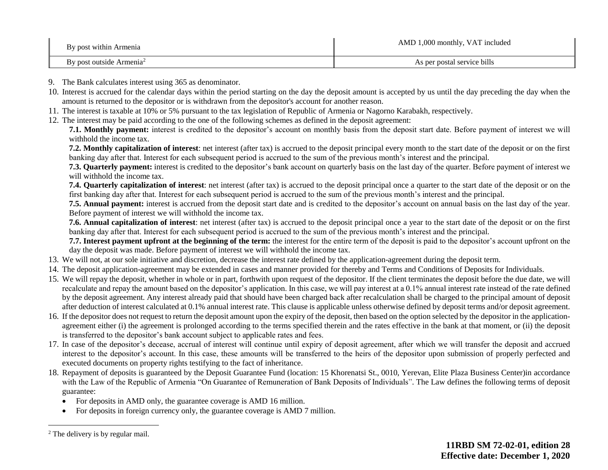| By post within Armenia     | AMD 1,000 monthly, VAT included |
|----------------------------|---------------------------------|
| By post outside $Armenia2$ | As per postal service bills     |

- 9. The Bank calculates interest using 365 as denominator.
- 10. Interest is accrued for the calendar days within the period starting on the day the deposit amount is accepted by us until the day preceding the day when the amount is returned to the depositor or is withdrawn from the depositor's account for another reason.
- 11. The interest is taxable at 10% or 5% pursuant to the tax legislation of Republic of Armenia or Nagorno Karabakh, respectively.
- 12. The interest may be paid according to the one of the following schemes as defined in the deposit agreement:

**7.1. Monthly payment:** interest is credited to the depositor's account on monthly basis from the deposit start date. Before payment of interest we will withhold the income tax.

**7.2. Monthly capitalization of interest**: net interest (after tax) is accrued to the deposit principal every month to the start date of the deposit or on the first banking day after that. Interest for each subsequent period is accrued to the sum of the previous month's interest and the principal.

**7.3. Quarterly payment:** interest is credited to the depositor's bank account on quarterly basis on the last day of the quarter. Before payment of interest we will withhold the income tax.

**7.4. Quarterly capitalization of interest**: net interest (after tax) is accrued to the deposit principal once a quarter to the start date of the deposit or on the first banking day after that. Interest for each subsequent period is accrued to the sum of the previous month's interest and the principal.

**7.5. Annual payment:** interest is accrued from the deposit start date and is credited to the depositor's account on annual basis on the last day of the year. Before payment of interest we will withhold the income tax.

**7.6. Annual capitalization of interest**: net interest (after tax) is accrued to the deposit principal once a year to the start date of the deposit or on the first banking day after that. Interest for each subsequent period is accrued to the sum of the previous month's interest and the principal.

**7.7. Interest payment upfront at the beginning of the term:** the interest for the entire term of the deposit is paid to the depositor's account upfront on the day the deposit was made. Before payment of interest we will withhold the income tax.

- 13. We will not, at our sole initiative and discretion, decrease the interest rate defined by the application-agreement during the deposit term.
- 14. The deposit application-agreement may be extended in cases and manner provided for thereby and Terms and Conditions of Deposits for Individuals.
- 15. We will repay the deposit, whether in whole or in part, forthwith upon request of the depositor. If the client terminates the deposit before the due date, we will recalculate and repay the amount based on the depositor's application. In this case, we will pay interest at a 0.1% annual interest rate instead of the rate defined by the deposit agreement. Any interest already paid that should have been charged back after recalculation shall be charged to the principal amount of deposit after deduction of interest calculated at 0.1% annual interest rate. This clause is applicable unless otherwise defined by deposit terms and/or deposit agreement.
- 16. If the depositor does not request to return the deposit amount upon the expiry of the deposit, then based on the option selected by the depositor in the applicationagreement either (i) the agreement is prolonged according to the terms specified therein and the rates effective in the bank at that moment, or (ii) the deposit is transferred to the depositor's bank account subject to applicable rates and fees.
- 17. In case of the depositor's decease, accrual of interest will continue until expiry of deposit agreement, after which we will transfer the deposit and accrued interest to the depositor's account. In this case, these amounts will be transferred to the heirs of the depositor upon submission of properly perfected and executed documents on property rights testifying to the fact of inheritance.
- 18. Repayment of deposits is guaranteed by the Deposit Guarantee Fund (location: 15 Khorenatsi St., 0010, Yerevan, Elite Plaza Business Center)in accordance with the Law of the Republic of Armenia "On Guarantee of Remuneration of Bank Deposits of Individuals". The Law defines the following terms of deposit guarantee:
	- For deposits in AMD only, the guarantee coverage is AMD 16 million.
	- For deposits in foreign currency only, the guarantee coverage is AMD 7 million.

<sup>&</sup>lt;sup>2</sup> The delivery is by regular mail.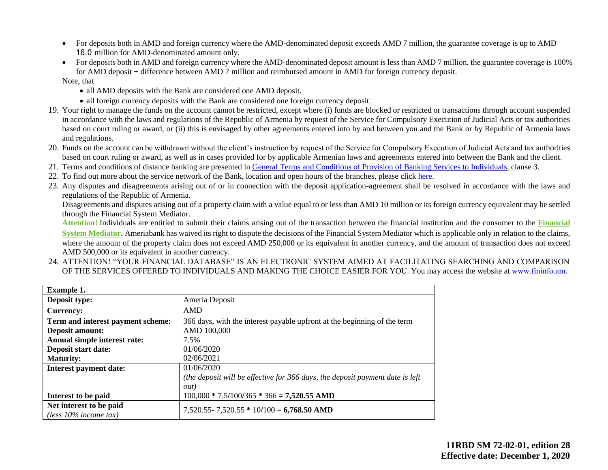- For deposits both in AMD and foreign currency where the AMD-denominated deposit exceeds AMD 7 million, the guarantee coverage is up to AMD 16.0 million for AMD-denominated amount only.
- For deposits both in AMD and foreign currency where the AMD-denominated deposit amount is less than AMD 7 million, the guarantee coverage is 100% for AMD deposit + difference between AMD 7 million and reimbursed amount in AMD for foreign currency deposit.

Note, that

- all AMD deposits with the Bank are considered one AMD deposit.
- all foreign currency deposits with the Bank are considered one foreign currency deposit.
- 19. Your right to manage the funds on the account cannot be restricted, except where (i) funds are blocked or restricted or transactions through account suspended in accordance with the laws and regulations of the Republic of Armenia by request of the Service for Compulsory Execution of Judicial Acts or tax authorities based on court ruling or award, or (ii) this is envisaged by other agreements entered into by and between you and the Bank or by Republic of Armenia laws and regulations.
- 20. Funds on the account can be withdrawn without the client's instruction by request of the Service for Compulsory Execution of Judicial Acts and tax authorities based on court ruling or award, as well as in cases provided for by applicable Armenian laws and agreements entered into between the Bank and the client.
- 21. Terms and conditions of distance banking are presented in [General Terms and Conditions of Provision of Banking Services to Individuals,](https://ameriabank.am/content.aspx?id=openning+and+service+of+bank+accounts+(retail)&page=99&itm=account&lang=28) clause 3.
- 22. To find out more about the service network of the Bank, location and open hours of the branches, please clic[k here.](https://ameriabank.am/infrastructure.aspx?lang=28)
- 23. Any disputes and disagreements arising out of or in connection with the deposit application-agreement shall be resolved in accordance with the laws and regulations of the Republic of Armenia.

Disagreements and disputes arising out of a property claim with a value equal to or less than AMD 10 million or its foreign currency equivalent may be settled through the Financial System Mediator.

**Attention!** Individuals are entitled to submit their claims arising out of the transaction between the financial institution and the consumer to the **[Financial](https://ameriabank.am/Page.aspx?id=423&lang=33) [System Mediator](https://ameriabank.am/Page.aspx?id=423&lang=33)**. Ameriabank has waived its right to dispute the decisions of the Financial System Mediator which is applicable only in relation to the claims, where the amount of the property claim does not exceed AMD 250,000 or its equivalent in another currency, and the amount of transaction does not exceed AMD 500,000 or its equivalent in another currency.

24. ATTENTION! "YOUR FINANCIAL DATABASE" IS AN ELECTRONIC SYSTEM AIMED AT FACILITATING SEARCHING AND COMPARISON OF THE SERVICES OFFERED TO INDIVIDUALS AND MAKING THE CHOICE EASIER FOR YOU. You may access the website a[t www.fininfօ.am.](https://www.arlis.am/Res/)

| <b>Example 1.</b>                 |                                                                               |
|-----------------------------------|-------------------------------------------------------------------------------|
| Deposit type:                     | Ameria Deposit                                                                |
| <b>Currency:</b>                  | AMD                                                                           |
| Term and interest payment scheme: | 366 days, with the interest payable upfront at the beginning of the term      |
| <b>Deposit amount:</b>            | AMD 100,000                                                                   |
| Annual simple interest rate:      | 7.5%                                                                          |
| Deposit start date:               | 01/06/2020                                                                    |
| <b>Maturity:</b>                  | 02/06/2021                                                                    |
| <b>Interest payment date:</b>     | 01/06/2020                                                                    |
|                                   | (the deposit will be effective for 366 days, the deposit payment date is left |
|                                   | <i>out</i> )                                                                  |
| Interest to be paid               | $100,000 * 7.5/100/365 * 366 = 7,520.55$ AMD                                  |
| Net interest to be paid           | $7,520.55 - 7,520.55 * 10/100 = 6,768.50$ AMD                                 |
| (less $10\%$ income tax)          |                                                                               |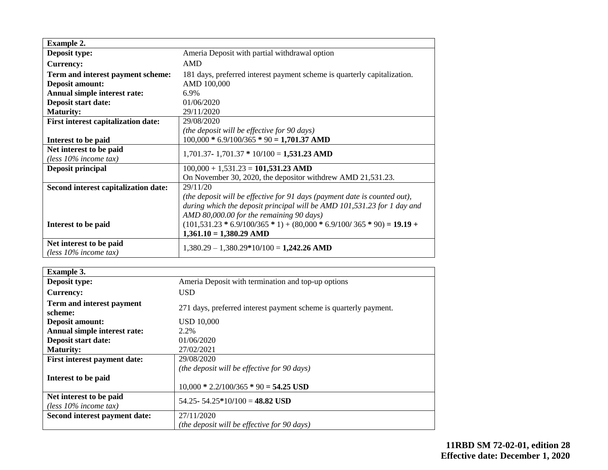| <b>Example 2.</b>                          |                                                                           |
|--------------------------------------------|---------------------------------------------------------------------------|
| Deposit type:                              | Ameria Deposit with partial withdrawal option                             |
| <b>Currency:</b>                           | <b>AMD</b>                                                                |
| Term and interest payment scheme:          | 181 days, preferred interest payment scheme is quarterly capitalization.  |
| <b>Deposit amount:</b>                     | AMD 100,000                                                               |
| Annual simple interest rate:               | 6.9%                                                                      |
| Deposit start date:                        | 01/06/2020                                                                |
| <b>Maturity:</b>                           | 29/11/2020                                                                |
| <b>First interest capitalization date:</b> | 29/08/2020                                                                |
|                                            | (the deposit will be effective for 90 days)                               |
| Interest to be paid                        | $100,000 * 6.9/100/365 * 90 = 1,701.37$ AMD                               |
| Net interest to be paid                    | $1,701.37 - 1,701.37 * 10/100 = 1,531.23$ AMD                             |
| (less $10\%$ income tax)                   |                                                                           |
| <b>Deposit principal</b>                   | $100,000 + 1,531.23 = 101,531.23$ AMD                                     |
|                                            | On November 30, 2020, the depositor with drew AMD 21,531.23.              |
| Second interest capitalization date:       | 29/11/20                                                                  |
|                                            | (the deposit will be effective for 91 days (payment date is counted out), |
|                                            | during which the deposit principal will be AMD 101,531.23 for 1 day and   |
|                                            | AMD 80,000.00 for the remaining 90 days)                                  |
| Interest to be paid                        | $(101,531.23 * 6.9/100/365 * 1) + (80,000 * 6.9/100/365 * 90) = 19.19 +$  |
|                                            | $1,361.10 = 1,380.29$ AMD                                                 |
| Net interest to be paid                    | $1,380.29 - 1,380.29*10/100 = 1,242.26$ AMD                               |
| (less $10\%$ income tax)                   |                                                                           |

| <b>Example 3.</b>                                   |                                                                   |
|-----------------------------------------------------|-------------------------------------------------------------------|
| Deposit type:                                       | Ameria Deposit with termination and top-up options                |
| <b>Currency:</b>                                    | USD.                                                              |
| Term and interest payment<br>scheme:                | 271 days, preferred interest payment scheme is quarterly payment. |
| Deposit amount:                                     | <b>USD 10,000</b>                                                 |
| Annual simple interest rate:                        | 2.2%                                                              |
| Deposit start date:                                 | 01/06/2020                                                        |
| <b>Maturity:</b>                                    | 27/02/2021                                                        |
| First interest payment date:                        | 29/08/2020                                                        |
|                                                     | (the deposit will be effective for 90 days)                       |
| Interest to be paid                                 |                                                                   |
|                                                     | $10,000 * 2.2/100/365 * 90 = 54.25$ USD                           |
| Net interest to be paid<br>(less $10\%$ income tax) | 54.25 - 54.25 * 10/100 = 48.82 USD                                |
| Second interest payment date:                       | 27/11/2020                                                        |
|                                                     | (the deposit will be effective for 90 days)                       |